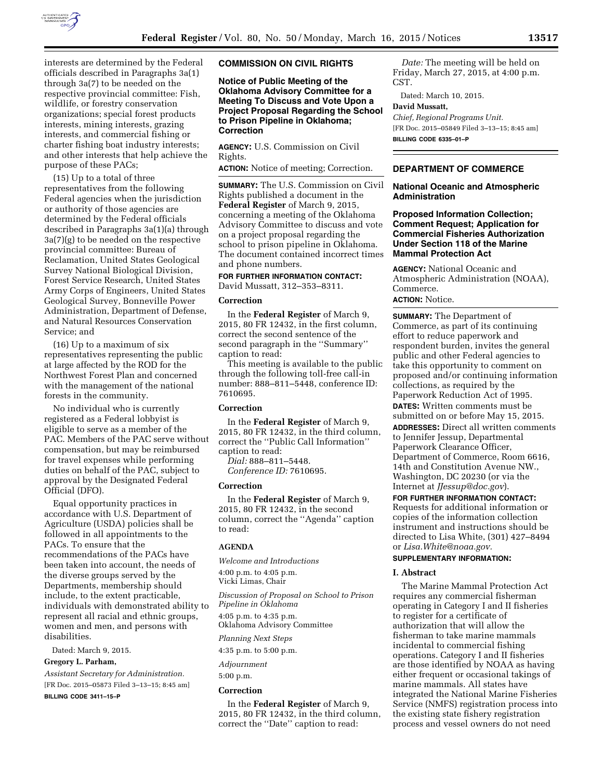

interests are determined by the Federal officials described in Paragraphs 3a(1) through 3a(7) to be needed on the respective provincial committee: Fish, wildlife, or forestry conservation organizations; special forest products interests, mining interests, grazing interests, and commercial fishing or charter fishing boat industry interests; and other interests that help achieve the purpose of these PACs;

(15) Up to a total of three representatives from the following Federal agencies when the jurisdiction or authority of those agencies are determined by the Federal officials described in Paragraphs 3a(1)(a) through 3a(7)(g) to be needed on the respective provincial committee: Bureau of Reclamation, United States Geological Survey National Biological Division, Forest Service Research, United States Army Corps of Engineers, United States Geological Survey, Bonneville Power Administration, Department of Defense, and Natural Resources Conservation Service; and

(16) Up to a maximum of six representatives representing the public at large affected by the ROD for the Northwest Forest Plan and concerned with the management of the national forests in the community.

No individual who is currently registered as a Federal lobbyist is eligible to serve as a member of the PAC. Members of the PAC serve without compensation, but may be reimbursed for travel expenses while performing duties on behalf of the PAC, subject to approval by the Designated Federal Official (DFO).

Equal opportunity practices in accordance with U.S. Department of Agriculture (USDA) policies shall be followed in all appointments to the PACs. To ensure that the recommendations of the PACs have been taken into account, the needs of the diverse groups served by the Departments, membership should include, to the extent practicable, individuals with demonstrated ability to represent all racial and ethnic groups, women and men, and persons with disabilities.

Dated: March 9, 2015.

**Gregory L. Parham,** 

*Assistant Secretary for Administration.*  [FR Doc. 2015–05873 Filed 3–13–15; 8:45 am]

**BILLING CODE 3411–15–P** 

#### **COMMISSION ON CIVIL RIGHTS**

**Notice of Public Meeting of the Oklahoma Advisory Committee for a Meeting To Discuss and Vote Upon a Project Proposal Regarding the School to Prison Pipeline in Oklahoma; Correction** 

**AGENCY:** U.S. Commission on Civil Rights.

**ACTION:** Notice of meeting; Correction.

**SUMMARY:** The U.S. Commission on Civil Rights published a document in the **Federal Register** of March 9, 2015, concerning a meeting of the Oklahoma Advisory Committee to discuss and vote on a project proposal regarding the school to prison pipeline in Oklahoma. The document contained incorrect times and phone numbers.

# **FOR FURTHER INFORMATION CONTACT:**

David Mussatt, 312–353–8311.

## **Correction**

In the **Federal Register** of March 9, 2015, 80 FR 12432, in the first column, correct the second sentence of the second paragraph in the ''Summary'' caption to read:

This meeting is available to the public through the following toll-free call-in number: 888–811–5448, conference ID: 7610695.

#### **Correction**

In the **Federal Register** of March 9, 2015, 80 FR 12432, in the third column, correct the ''Public Call Information'' caption to read:

*Dial:* 888–811–5448. *Conference ID:* 7610695.

## **Correction**

In the **Federal Register** of March 9, 2015, 80 FR 12432, in the second column, correct the ''Agenda'' caption to read:

## **AGENDA**

*Welcome and Introductions*  4:00 p.m. to 4:05 p.m. Vicki Limas, Chair

*Discussion of Proposal on School to Prison Pipeline in Oklahoma*  4:05 p.m. to 4:35 p.m. Oklahoma Advisory Committee

*Planning Next Steps* 

4:35 p.m. to 5:00 p.m.

*Adjournment* 

5:00 p.m.

## **Correction**

In the **Federal Register** of March 9, 2015, 80 FR 12432, in the third column, correct the ''Date'' caption to read:

*Date:* The meeting will be held on Friday, March 27, 2015, at 4:00 p.m. CST.

Dated: March 10, 2015.

#### **David Mussatt,**

*Chief, Regional Programs Unit.*  [FR Doc. 2015–05849 Filed 3–13–15; 8:45 am] **BILLING CODE 6335–01–P** 

## **DEPARTMENT OF COMMERCE**

## **National Oceanic and Atmospheric Administration**

## **Proposed Information Collection; Comment Request; Application for Commercial Fisheries Authorization Under Section 118 of the Marine Mammal Protection Act**

**AGENCY:** National Oceanic and Atmospheric Administration (NOAA), Commerce.

## **ACTION:** Notice.

**SUMMARY:** The Department of Commerce, as part of its continuing effort to reduce paperwork and respondent burden, invites the general public and other Federal agencies to take this opportunity to comment on proposed and/or continuing information collections, as required by the Paperwork Reduction Act of 1995.

**DATES:** Written comments must be submitted on or before May 15, 2015.

**ADDRESSES:** Direct all written comments to Jennifer Jessup, Departmental Paperwork Clearance Officer, Department of Commerce, Room 6616, 14th and Constitution Avenue NW., Washington, DC 20230 (or via the Internet at *[JJessup@doc.gov](mailto:JJessup@doc.gov)*).

**FOR FURTHER INFORMATION CONTACT:**  Requests for additional information or copies of the information collection instrument and instructions should be directed to Lisa White, (301) 427–8494 or *[Lisa.White@noaa.gov.](mailto:Lisa.White@noaa.gov)* 

## **SUPPLEMENTARY INFORMATION:**

## **I. Abstract**

The Marine Mammal Protection Act requires any commercial fisherman operating in Category I and II fisheries to register for a certificate of authorization that will allow the fisherman to take marine mammals incidental to commercial fishing operations. Category I and II fisheries are those identified by NOAA as having either frequent or occasional takings of marine mammals. All states have integrated the National Marine Fisheries Service (NMFS) registration process into the existing state fishery registration process and vessel owners do not need